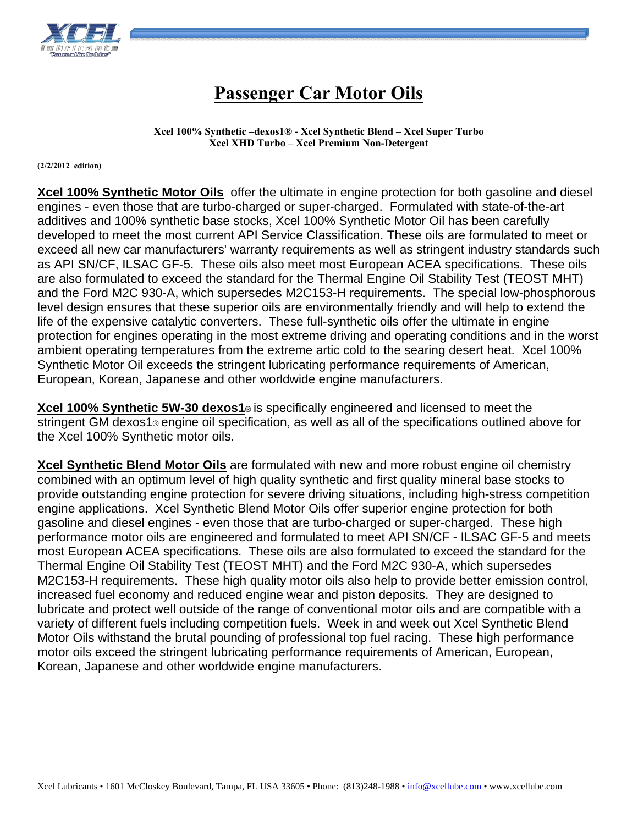

## **Passenger Car Motor Oils**

**Xcel 100% Synthetic –dexos1® - Xcel Synthetic Blend – Xcel Super Turbo Xcel XHD Turbo – Xcel Premium Non-Detergent** 

**(2/2/2012 edition)** 

**Xcel 100% Synthetic Motor Oils** offer the ultimate in engine protection for both gasoline and diesel engines - even those that are turbo-charged or super-charged. Formulated with state-of-the-art additives and 100% synthetic base stocks, Xcel 100% Synthetic Motor Oil has been carefully developed to meet the most current API Service Classification. These oils are formulated to meet or exceed all new car manufacturers' warranty requirements as well as stringent industry standards such as API SN/CF, ILSAC GF-5. These oils also meet most European ACEA specifications. These oils are also formulated to exceed the standard for the Thermal Engine Oil Stability Test (TEOST MHT) and the Ford M2C 930-A, which supersedes M2C153-H requirements. The special low-phosphorous level design ensures that these superior oils are environmentally friendly and will help to extend the life of the expensive catalytic converters. These full-synthetic oils offer the ultimate in engine protection for engines operating in the most extreme driving and operating conditions and in the worst ambient operating temperatures from the extreme artic cold to the searing desert heat. Xcel 100% Synthetic Motor Oil exceeds the stringent lubricating performance requirements of American, European, Korean, Japanese and other worldwide engine manufacturers.

**Xcel 100% Synthetic 5W-30 dexos1®** is specifically engineered and licensed to meet the stringent GM dexos1® engine oil specification, as well as all of the specifications outlined above for the Xcel 100% Synthetic motor oils.

**Xcel Synthetic Blend Motor Oils** are formulated with new and more robust engine oil chemistry combined with an optimum level of high quality synthetic and first quality mineral base stocks to provide outstanding engine protection for severe driving situations, including high-stress competition engine applications. Xcel Synthetic Blend Motor Oils offer superior engine protection for both gasoline and diesel engines - even those that are turbo-charged or super-charged. These high performance motor oils are engineered and formulated to meet API SN/CF - ILSAC GF-5 and meets most European ACEA specifications. These oils are also formulated to exceed the standard for the Thermal Engine Oil Stability Test (TEOST MHT) and the Ford M2C 930-A, which supersedes M2C153-H requirements. These high quality motor oils also help to provide better emission control, increased fuel economy and reduced engine wear and piston deposits. They are designed to lubricate and protect well outside of the range of conventional motor oils and are compatible with a variety of different fuels including competition fuels. Week in and week out Xcel Synthetic Blend Motor Oils withstand the brutal pounding of professional top fuel racing. These high performance motor oils exceed the stringent lubricating performance requirements of American, European, Korean, Japanese and other worldwide engine manufacturers.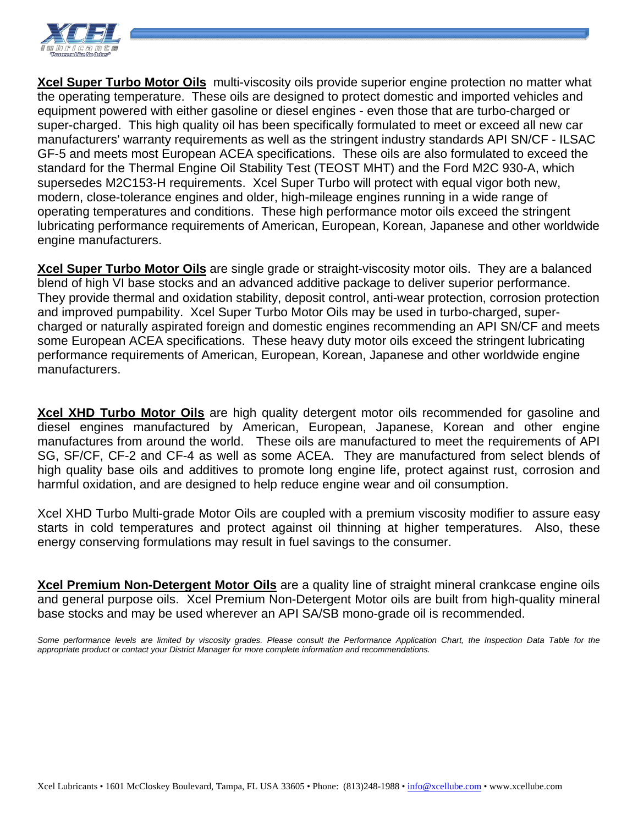

**Xcel Super Turbo Motor Oils** multi-viscosity oils provide superior engine protection no matter what the operating temperature. These oils are designed to protect domestic and imported vehicles and equipment powered with either gasoline or diesel engines - even those that are turbo-charged or super-charged. This high quality oil has been specifically formulated to meet or exceed all new car manufacturers' warranty requirements as well as the stringent industry standards API SN/CF - ILSAC GF-5 and meets most European ACEA specifications. These oils are also formulated to exceed the standard for the Thermal Engine Oil Stability Test (TEOST MHT) and the Ford M2C 930-A, which supersedes M2C153-H requirements. Xcel Super Turbo will protect with equal vigor both new, modern, close-tolerance engines and older, high-mileage engines running in a wide range of operating temperatures and conditions. These high performance motor oils exceed the stringent lubricating performance requirements of American, European, Korean, Japanese and other worldwide engine manufacturers.

**Xcel Super Turbo Motor Oils** are single grade or straight-viscosity motor oils. They are a balanced blend of high VI base stocks and an advanced additive package to deliver superior performance. They provide thermal and oxidation stability, deposit control, anti-wear protection, corrosion protection and improved pumpability. Xcel Super Turbo Motor Oils may be used in turbo-charged, supercharged or naturally aspirated foreign and domestic engines recommending an API SN/CF and meets some European ACEA specifications. These heavy duty motor oils exceed the stringent lubricating performance requirements of American, European, Korean, Japanese and other worldwide engine manufacturers.

**Xcel XHD Turbo Motor Oils** are high quality detergent motor oils recommended for gasoline and diesel engines manufactured by American, European, Japanese, Korean and other engine manufactures from around the world. These oils are manufactured to meet the requirements of API SG, SF/CF, CF-2 and CF-4 as well as some ACEA. They are manufactured from select blends of high quality base oils and additives to promote long engine life, protect against rust, corrosion and harmful oxidation, and are designed to help reduce engine wear and oil consumption.

Xcel XHD Turbo Multi-grade Motor Oils are coupled with a premium viscosity modifier to assure easy starts in cold temperatures and protect against oil thinning at higher temperatures. Also, these energy conserving formulations may result in fuel savings to the consumer.

**Xcel Premium Non-Detergent Motor Oils** are a quality line of straight mineral crankcase engine oils and general purpose oils. Xcel Premium Non-Detergent Motor oils are built from high-quality mineral base stocks and may be used wherever an API SA/SB mono-grade oil is recommended.

Some performance levels are limited by viscosity grades. Please consult the Performance Application Chart, the Inspection Data Table for the *appropriate product or contact your District Manager for more complete information and recommendations.*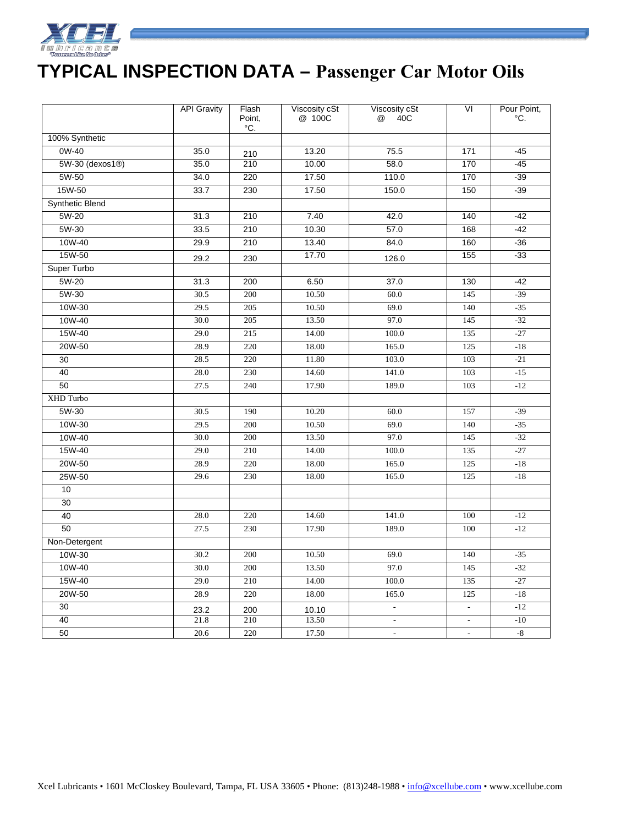

## **TYPICAL INSPECTION DATA – Passenger Car Motor Oils**

|                 | <b>API Gravity</b> | Flash<br>Point,<br>°C. | Viscosity cSt<br>@ 100C | Viscosity cSt<br>@<br>40C | VI                       | Pour Point,<br>°C. |
|-----------------|--------------------|------------------------|-------------------------|---------------------------|--------------------------|--------------------|
| 100% Synthetic  |                    |                        |                         |                           |                          |                    |
| 0W-40           | 35.0               | 210                    | 13.20                   | 75.5                      | 171                      | $-45$              |
| 5W-30 (dexos1®) | 35.0               | 210                    | 10.00                   | 58.0                      | 170                      | $-45$              |
| 5W-50           | 34.0               | 220                    | 17.50                   | 110.0                     | 170                      | $-39$              |
| 15W-50          | 33.7               | 230                    | 17.50                   | 150.0                     | 150                      | $-39$              |
| Synthetic Blend |                    |                        |                         |                           |                          |                    |
| 5W-20           | 31.3               | 210                    | 7.40                    | 42.0                      | 140                      | $-42$              |
| 5W-30           | 33.5               | 210                    | 10.30                   | 57.0                      | 168                      | $-42$              |
| 10W-40          | 29.9               | 210                    | 13.40                   | 84.0                      | 160                      | $-36$              |
| 15W-50          | 29.2               | 230                    | 17.70                   | 126.0                     | 155                      | $-33$              |
| Super Turbo     |                    |                        |                         |                           |                          |                    |
| 5W-20           | 31.3               | 200                    | 6.50                    | 37.0                      | 130                      | $-42$              |
| $5W-30$         | 30.5               | 200                    | 10.50                   | 60.0                      | 145                      | $-39$              |
| 10W-30          | 29.5               | 205                    | 10.50                   | 69.0                      | 140                      | $-35$              |
| 10W-40          | 30.0               | 205                    | 13.50                   | 97.0                      | 145                      | $-32$              |
| 15W-40          | 29.0               | 215                    | 14.00                   | 100.0                     | 135                      | $-27$              |
| 20W-50          | 28.9               | 220                    | 18.00                   | 165.0                     | 125                      | $-18$              |
| 30              | 28.5               | 220                    | 11.80                   | 103.0                     | 103                      | $-21$              |
| 40              | 28.0               | 230                    | 14.60                   | 141.0                     | 103                      | $-15$              |
| 50              | 27.5               | 240                    | 17.90                   | 189.0                     | 103                      | $-12$              |
| XHD Turbo       |                    |                        |                         |                           |                          |                    |
| 5W-30           | 30.5               | 190                    | 10.20                   | 60.0                      | 157                      | $-39$              |
| 10W-30          | 29.5               | 200                    | 10.50                   | 69.0                      | 140                      | $-35$              |
| 10W-40          | 30.0               | 200                    | 13.50                   | 97.0                      | 145                      | $-32$              |
| 15W-40          | 29.0               | 210                    | 14.00                   | 100.0                     | 135                      | $-27$              |
| 20W-50          | 28.9               | 220                    | 18.00                   | 165.0                     | 125                      | $-18$              |
| 25W-50          | 29.6               | 230                    | 18.00                   | 165.0                     | 125                      | $-18$              |
| 10              |                    |                        |                         |                           |                          |                    |
| 30              |                    |                        |                         |                           |                          |                    |
| 40              | 28.0               | 220                    | 14.60                   | 141.0                     | 100                      | $-12$              |
| 50              | 27.5               | 230                    | 17.90                   | 189.0                     | 100                      | $-12$              |
| Non-Detergent   |                    |                        |                         |                           |                          |                    |
| 10W-30          | 30.2               | 200                    | 10.50                   | 69.0                      | 140                      | $-35$              |
| 10W-40          | 30.0               | 200                    | 13.50                   | 97.0                      | 145                      | $-32$              |
| 15W-40          | 29.0               | 210                    | 14.00                   | 100.0                     | 135                      | $-27$              |
| 20W-50          | 28.9               | 220                    | 18.00                   | 165.0                     | 125                      | $-18$              |
| $\overline{30}$ | 23.2               | 200                    | 10.10                   | $\Box$                    | $\Box$                   | $-12$              |
| 40              | 21.8               | 210                    | 13.50                   |                           | $\overline{\phantom{a}}$ | $-10$              |
| 50              | 20.6               | 220                    | 17.50                   | $\omega$                  | $\overline{\phantom{a}}$ | $-8$               |